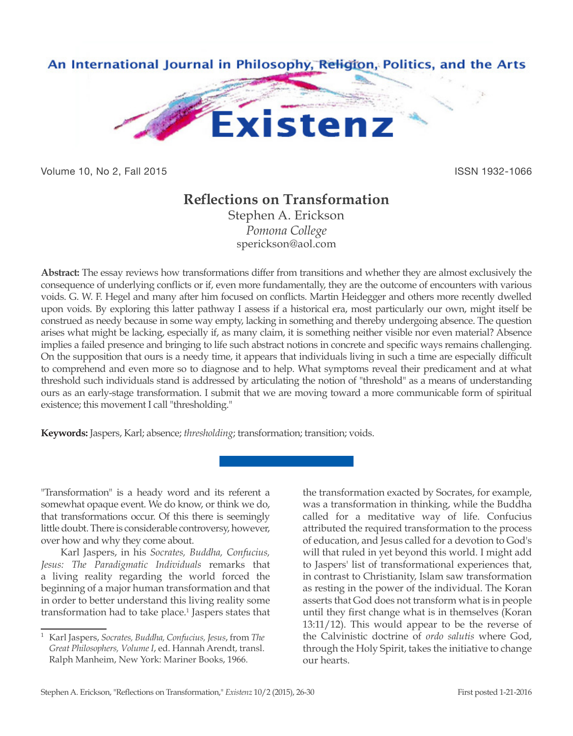

Volume 10, No 2, Fall 2015 **ISSN 1932-1066** 

## **Reflections on Transformation**

Stephen A. Erickson *Pomona College* sperickson@aol.com

**Abstract:** The essay reviews how transformations differ from transitions and whether they are almost exclusively the consequence of underlying conflicts or if, even more fundamentally, they are the outcome of encounters with various voids. G. W. F. Hegel and many after him focused on conflicts. Martin Heidegger and others more recently dwelled upon voids. By exploring this latter pathway I assess if a historical era, most particularly our own, might itself be construed as needy because in some way empty, lacking in something and thereby undergoing absence. The question arises what might be lacking, especially if, as many claim, it is something neither visible nor even material? Absence implies a failed presence and bringing to life such abstract notions in concrete and specific ways remains challenging. On the supposition that ours is a needy time, it appears that individuals living in such a time are especially difficult to comprehend and even more so to diagnose and to help. What symptoms reveal their predicament and at what threshold such individuals stand is addressed by articulating the notion of "threshold" as a means of understanding ours as an early-stage transformation. I submit that we are moving toward a more communicable form of spiritual existence; this movement I call "thresholding."

**Keywords:** Jaspers, Karl; absence; *thresholding*; transformation; transition; voids.

"Transformation" is a heady word and its referent a somewhat opaque event. We do know, or think we do, that transformations occur. Of this there is seemingly little doubt. There is considerable controversy, however, over how and why they come about.

Karl Jaspers, in his *Socrates, Buddha, Confucius, Jesus: The Paradigmatic Individuals* remarks that a living reality regarding the world forced the beginning of a major human transformation and that in order to better understand this living reality some transformation had to take place.<sup>1</sup> Jaspers states that the transformation exacted by Socrates, for example, was a transformation in thinking, while the Buddha called for a meditative way of life. Confucius attributed the required transformation to the process of education, and Jesus called for a devotion to God's will that ruled in yet beyond this world. I might add to Jaspers' list of transformational experiences that, in contrast to Christianity, Islam saw transformation as resting in the power of the individual. The Koran asserts that God does not transform what is in people until they first change what is in themselves (Koran 13:11/12). This would appear to be the reverse of the Calvinistic doctrine of *ordo salutis* where God, through the Holy Spirit, takes the initiative to change our hearts.

<sup>1</sup> Karl Jaspers, *Socrates, Buddha, Confucius, Jesus*, from *The Great Philosophers, Volume I*, ed. Hannah Arendt, transl. Ralph Manheim, New York: Mariner Books, 1966.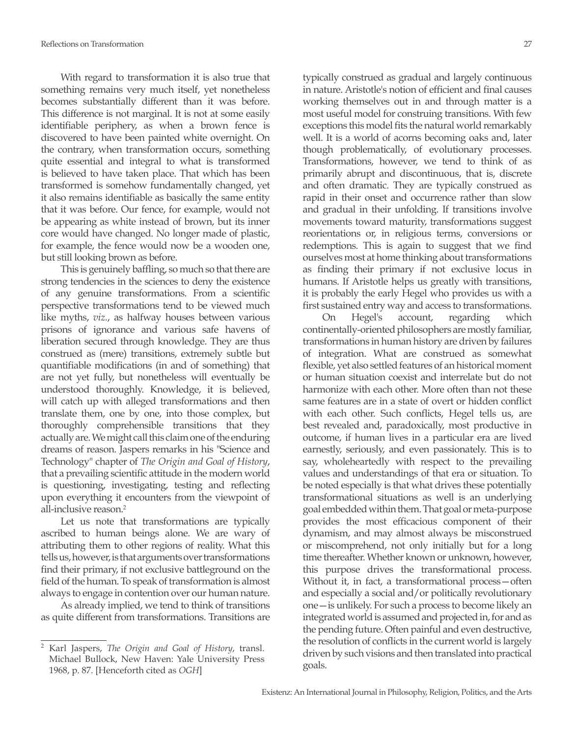With regard to transformation it is also true that something remains very much itself, yet nonetheless becomes substantially different than it was before. This difference is not marginal. It is not at some easily identifiable periphery, as when a brown fence is discovered to have been painted white overnight. On the contrary, when transformation occurs, something quite essential and integral to what is transformed is believed to have taken place. That which has been transformed is somehow fundamentally changed, yet it also remains identifiable as basically the same entity that it was before. Our fence, for example, would not be appearing as white instead of brown, but its inner core would have changed. No longer made of plastic, for example, the fence would now be a wooden one, but still looking brown as before.

This is genuinely baffling, so much so that there are strong tendencies in the sciences to deny the existence of any genuine transformations. From a scientific perspective transformations tend to be viewed much like myths, *viz.*, as halfway houses between various prisons of ignorance and various safe havens of liberation secured through knowledge. They are thus construed as (mere) transitions, extremely subtle but quantifiable modifications (in and of something) that are not yet fully, but nonetheless will eventually be understood thoroughly. Knowledge, it is believed, will catch up with alleged transformations and then translate them, one by one, into those complex, but thoroughly comprehensible transitions that they actually are. We might call this claim one of the enduring dreams of reason. Jaspers remarks in his "Science and Technology" chapter of *The Origin and Goal of History*, that a prevailing scientific attitude in the modern world is questioning, investigating, testing and reflecting upon everything it encounters from the viewpoint of all-inclusive reason.2

Let us note that transformations are typically ascribed to human beings alone. We are wary of attributing them to other regions of reality. What this tells us, however, is that arguments over transformations find their primary, if not exclusive battleground on the field of the human. To speak of transformation is almost always to engage in contention over our human nature.

As already implied, we tend to think of transitions as quite different from transformations. Transitions are

typically construed as gradual and largely continuous in nature. Aristotle's notion of efficient and final causes working themselves out in and through matter is a most useful model for construing transitions. With few exceptions this model fits the natural world remarkably well. It is a world of acorns becoming oaks and, later though problematically, of evolutionary processes. Transformations, however, we tend to think of as primarily abrupt and discontinuous, that is, discrete and often dramatic. They are typically construed as rapid in their onset and occurrence rather than slow and gradual in their unfolding. If transitions involve movements toward maturity, transformations suggest reorientations or, in religious terms, conversions or redemptions. This is again to suggest that we find ourselves most at home thinking about transformations as finding their primary if not exclusive locus in humans. If Aristotle helps us greatly with transitions, it is probably the early Hegel who provides us with a first sustained entry way and access to transformations.

On Hegel's account, regarding which continentally-oriented philosophers are mostly familiar, transformations in human history are driven by failures of integration. What are construed as somewhat flexible, yet also settled features of an historical moment or human situation coexist and interrelate but do not harmonize with each other. More often than not these same features are in a state of overt or hidden conflict with each other. Such conflicts, Hegel tells us, are best revealed and, paradoxically, most productive in outcome, if human lives in a particular era are lived earnestly, seriously, and even passionately. This is to say, wholeheartedly with respect to the prevailing values and understandings of that era or situation. To be noted especially is that what drives these potentially transformational situations as well is an underlying goal embedded within them. That goal or meta-purpose provides the most efficacious component of their dynamism, and may almost always be misconstrued or miscomprehend, not only initially but for a long time thereafter. Whether known or unknown, however, this purpose drives the transformational process. Without it, in fact, a transformational process—often and especially a social and/or politically revolutionary one—is unlikely. For such a process to become likely an integrated world is assumed and projected in, for and as the pending future. Often painful and even destructive, the resolution of conflicts in the current world is largely driven by such visions and then translated into practical goals.

<sup>2</sup> Karl Jaspers, *The Origin and Goal of History*, transl. Michael Bullock, New Haven: Yale University Press 1968, p. 87. [Henceforth cited as *OGH*]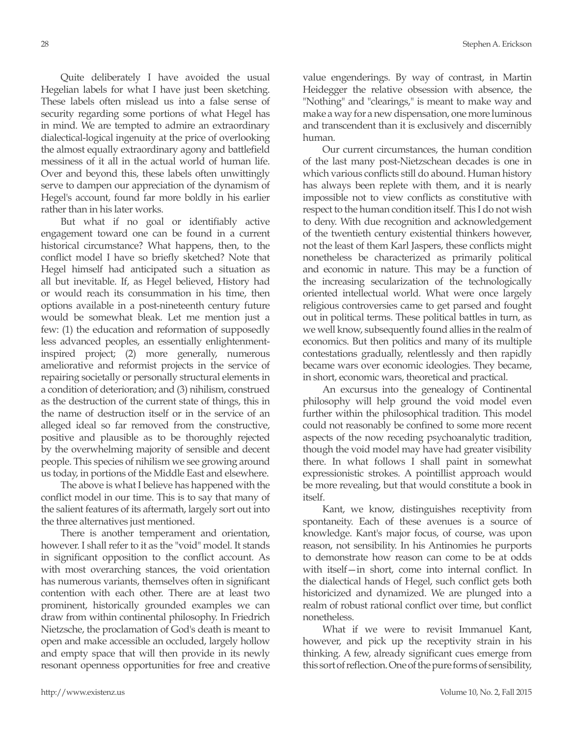Quite deliberately I have avoided the usual Hegelian labels for what I have just been sketching. These labels often mislead us into a false sense of security regarding some portions of what Hegel has in mind. We are tempted to admire an extraordinary dialectical-logical ingenuity at the price of overlooking the almost equally extraordinary agony and battlefield messiness of it all in the actual world of human life. Over and beyond this, these labels often unwittingly serve to dampen our appreciation of the dynamism of Hegel's account, found far more boldly in his earlier rather than in his later works.

But what if no goal or identifiably active engagement toward one can be found in a current historical circumstance? What happens, then, to the conflict model I have so briefly sketched? Note that Hegel himself had anticipated such a situation as all but inevitable. If, as Hegel believed, History had or would reach its consummation in his time, then options available in a post-nineteenth century future would be somewhat bleak. Let me mention just a few: (1) the education and reformation of supposedly less advanced peoples, an essentially enlightenmentinspired project; (2) more generally, numerous ameliorative and reformist projects in the service of repairing societally or personally structural elements in a condition of deterioration; and (3) nihilism, construed as the destruction of the current state of things, this in the name of destruction itself or in the service of an alleged ideal so far removed from the constructive, positive and plausible as to be thoroughly rejected by the overwhelming majority of sensible and decent people. This species of nihilism we see growing around us today, in portions of the Middle East and elsewhere.

The above is what I believe has happened with the conflict model in our time. This is to say that many of the salient features of its aftermath, largely sort out into the three alternatives just mentioned.

There is another temperament and orientation, however. I shall refer to it as the "void" model. It stands in significant opposition to the conflict account. As with most overarching stances, the void orientation has numerous variants, themselves often in significant contention with each other. There are at least two prominent, historically grounded examples we can draw from within continental philosophy. In Friedrich Nietzsche, the proclamation of God's death is meant to open and make accessible an occluded, largely hollow and empty space that will then provide in its newly resonant openness opportunities for free and creative

value engenderings. By way of contrast, in Martin Heidegger the relative obsession with absence, the "Nothing" and "clearings," is meant to make way and make a way for a new dispensation, one more luminous and transcendent than it is exclusively and discernibly human.

Our current circumstances, the human condition of the last many post-Nietzschean decades is one in which various conflicts still do abound. Human history has always been replete with them, and it is nearly impossible not to view conflicts as constitutive with respect to the human condition itself. This I do not wish to deny. With due recognition and acknowledgement of the twentieth century existential thinkers however, not the least of them Karl Jaspers, these conflicts might nonetheless be characterized as primarily political and economic in nature. This may be a function of the increasing secularization of the technologically oriented intellectual world. What were once largely religious controversies came to get parsed and fought out in political terms. These political battles in turn, as we well know, subsequently found allies in the realm of economics. But then politics and many of its multiple contestations gradually, relentlessly and then rapidly became wars over economic ideologies. They became, in short, economic wars, theoretical and practical.

An excursus into the genealogy of Continental philosophy will help ground the void model even further within the philosophical tradition. This model could not reasonably be confined to some more recent aspects of the now receding psychoanalytic tradition, though the void model may have had greater visibility there. In what follows I shall paint in somewhat expressionistic strokes. A pointillist approach would be more revealing, but that would constitute a book in itself.

Kant, we know, distinguishes receptivity from spontaneity. Each of these avenues is a source of knowledge. Kant's major focus, of course, was upon reason, not sensibility. In his Antinomies he purports to demonstrate how reason can come to be at odds with itself—in short, come into internal conflict. In the dialectical hands of Hegel, such conflict gets both historicized and dynamized. We are plunged into a realm of robust rational conflict over time, but conflict nonetheless.

What if we were to revisit Immanuel Kant, however, and pick up the receptivity strain in his thinking. A few, already significant cues emerge from this sort of reflection. One of the pure forms of sensibility,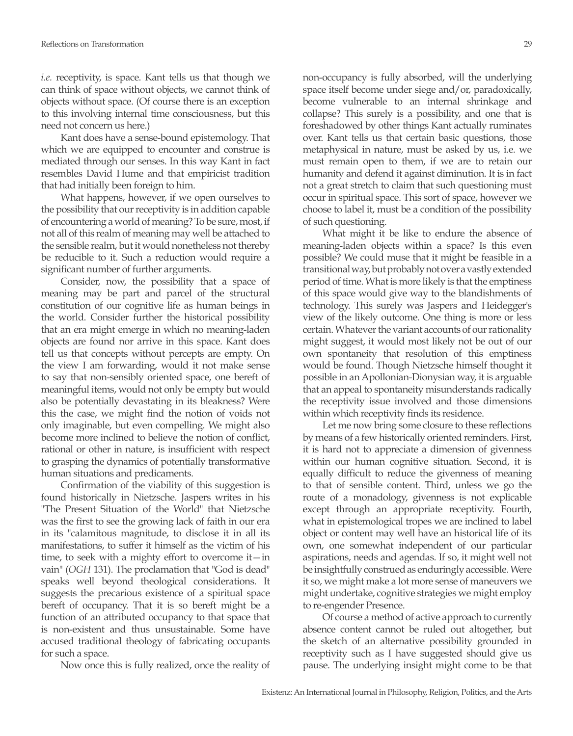*i.e.* receptivity, is space. Kant tells us that though we can think of space without objects, we cannot think of objects without space. (Of course there is an exception to this involving internal time consciousness, but this need not concern us here.)

Kant does have a sense-bound epistemology. That which we are equipped to encounter and construe is mediated through our senses. In this way Kant in fact resembles David Hume and that empiricist tradition that had initially been foreign to him.

What happens, however, if we open ourselves to the possibility that our receptivity is in addition capable of encountering a world of meaning? To be sure, most, if not all of this realm of meaning may well be attached to the sensible realm, but it would nonetheless not thereby be reducible to it. Such a reduction would require a significant number of further arguments.

Consider, now, the possibility that a space of meaning may be part and parcel of the structural constitution of our cognitive life as human beings in the world. Consider further the historical possibility that an era might emerge in which no meaning-laden objects are found nor arrive in this space. Kant does tell us that concepts without percepts are empty. On the view I am forwarding, would it not make sense to say that non-sensibly oriented space, one bereft of meaningful items, would not only be empty but would also be potentially devastating in its bleakness? Were this the case, we might find the notion of voids not only imaginable, but even compelling. We might also become more inclined to believe the notion of conflict, rational or other in nature, is insufficient with respect to grasping the dynamics of potentially transformative human situations and predicaments.

Confirmation of the viability of this suggestion is found historically in Nietzsche. Jaspers writes in his "The Present Situation of the World" that Nietzsche was the first to see the growing lack of faith in our era in its "calamitous magnitude, to disclose it in all its manifestations, to suffer it himself as the victim of his time, to seek with a mighty effort to overcome it—in vain" (*OGH* 131). The proclamation that "God is dead" speaks well beyond theological considerations. It suggests the precarious existence of a spiritual space bereft of occupancy. That it is so bereft might be a function of an attributed occupancy to that space that is non-existent and thus unsustainable. Some have accused traditional theology of fabricating occupants for such a space.

Now once this is fully realized, once the reality of

non-occupancy is fully absorbed, will the underlying space itself become under siege and/or, paradoxically, become vulnerable to an internal shrinkage and collapse? This surely is a possibility, and one that is foreshadowed by other things Kant actually ruminates over. Kant tells us that certain basic questions, those metaphysical in nature, must be asked by us, i.e. we must remain open to them, if we are to retain our humanity and defend it against diminution. It is in fact not a great stretch to claim that such questioning must occur in spiritual space. This sort of space, however we choose to label it, must be a condition of the possibility of such questioning.

What might it be like to endure the absence of meaning-laden objects within a space? Is this even possible? We could muse that it might be feasible in a transitional way, but probably not over a vastly extended period of time. What is more likely is that the emptiness of this space would give way to the blandishments of technology. This surely was Jaspers and Heidegger's view of the likely outcome. One thing is more or less certain. Whatever the variant accounts of our rationality might suggest, it would most likely not be out of our own spontaneity that resolution of this emptiness would be found. Though Nietzsche himself thought it possible in an Apollonian-Dionysian way, it is arguable that an appeal to spontaneity misunderstands radically the receptivity issue involved and those dimensions within which receptivity finds its residence.

Let me now bring some closure to these reflections by means of a few historically oriented reminders. First, it is hard not to appreciate a dimension of givenness within our human cognitive situation. Second, it is equally difficult to reduce the givenness of meaning to that of sensible content. Third, unless we go the route of a monadology, givenness is not explicable except through an appropriate receptivity. Fourth, what in epistemological tropes we are inclined to label object or content may well have an historical life of its own, one somewhat independent of our particular aspirations, needs and agendas. If so, it might well not be insightfully construed as enduringly accessible. Were it so, we might make a lot more sense of maneuvers we might undertake, cognitive strategies we might employ to re-engender Presence.

Of course a method of active approach to currently absence content cannot be ruled out altogether, but the sketch of an alternative possibility grounded in receptivity such as I have suggested should give us pause. The underlying insight might come to be that